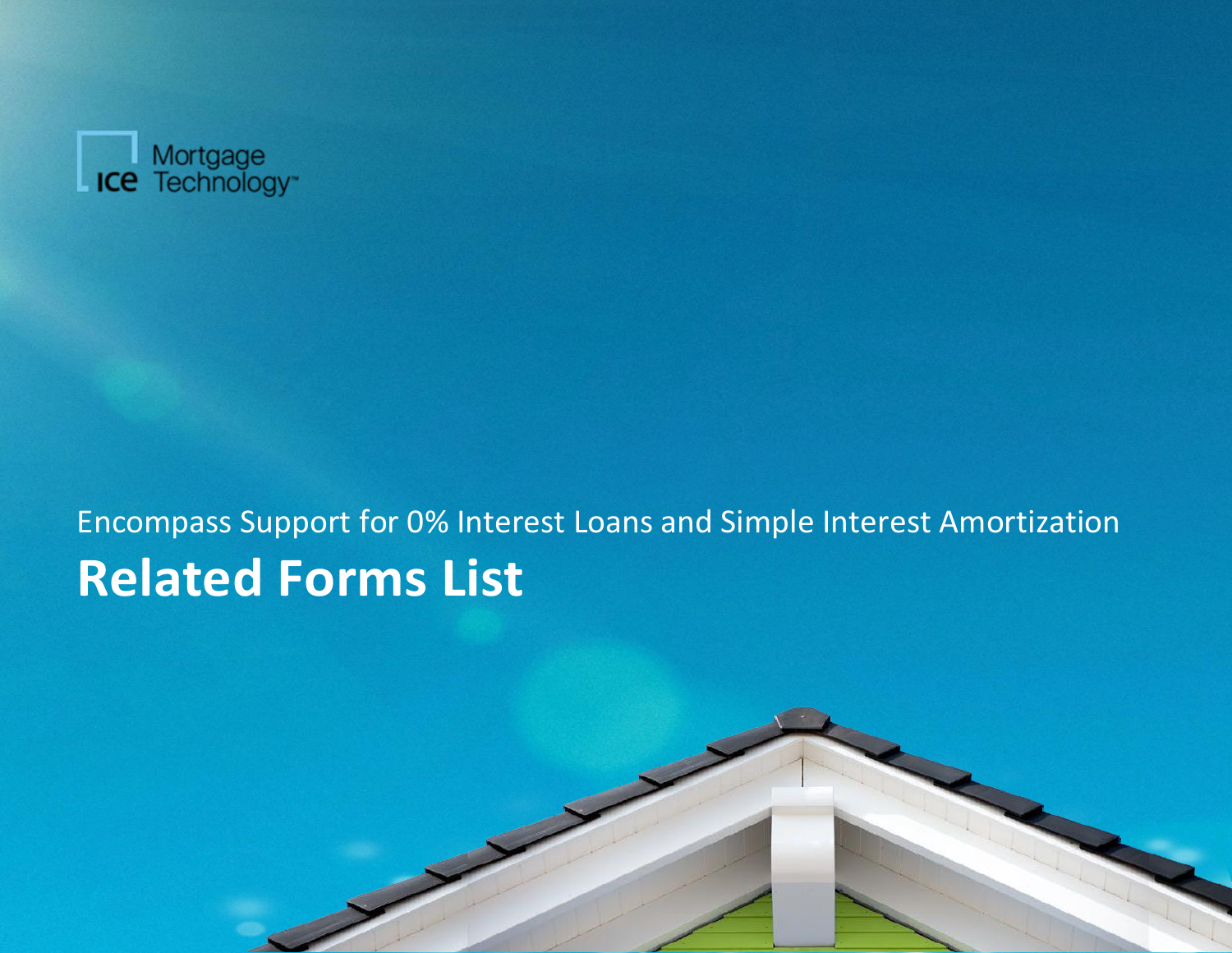

## Encompass Support for 0% Interest Loans and Simple Interest Amortization **Related Forms List**

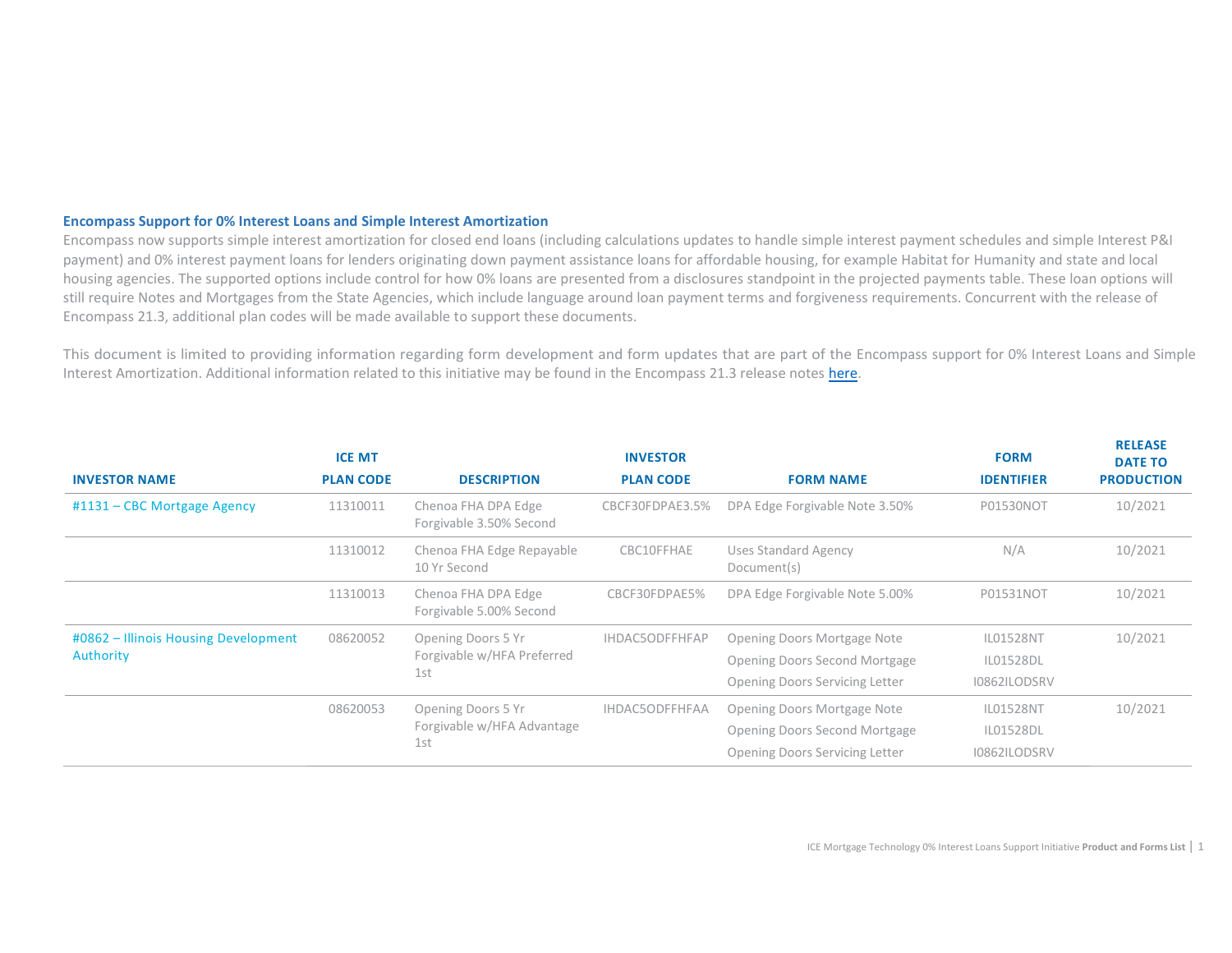## **Encompass Support for 0% Interest Loans and Simple Interest Amortization**

Encompass now supports simple interest amortization for closed end loans (including calculations updates to handle simple interest payment schedules and simple Interest P&I payment) and 0% interest payment loans for lenders originating down payment assistance loans for affordable housing, for example Habitat for Humanity and state and local housing agencies. The supported options include control for how 0% loans are presented from a disclosures standpoint in the projected payments table. These loan options will still require Notes and Mortgages from the State Agencies, which include language around loan payment terms and forgiveness requirements. Concurrent with the release of Encompass 21.3, additional plan codes will be made available to support these documents.

This document is limited to providing information regarding form development and form updates that are part of the Encompass support for 0% Interest Loans and Simple Interest Amortization. Additional information related to this initiative may be found in the Encompass 21.3 release note[s here.](https://help.elliemae.com/documentation/encompass/Content/encompass/release_notes/21-3/rn_encompass-release-21-3-title.htm)

|                                                   | <b>ICE MT</b>    |                                                         | <b>INVESTOR</b>       |                                       | <b>FORM</b>                 | <b>RELEASE</b><br><b>DATE TO</b> |
|---------------------------------------------------|------------------|---------------------------------------------------------|-----------------------|---------------------------------------|-----------------------------|----------------------------------|
| <b>INVESTOR NAME</b>                              | <b>PLAN CODE</b> | <b>DESCRIPTION</b>                                      | <b>PLAN CODE</b>      | <b>FORM NAME</b>                      | <b>IDENTIFIER</b>           | <b>PRODUCTION</b>                |
| #1131 - CBC Mortgage Agency                       | 11310011         | Chenoa FHA DPA Edge<br>Forgivable 3.50% Second          | CBCF30FDPAE3.5%       | DPA Edge Forgivable Note 3.50%        | <b>P01530NOT</b>            | 10/2021                          |
|                                                   | 11310012         | Chenoa FHA Edge Repayable<br>10 Yr Second               | CBC10FFHAE            | Uses Standard Agency<br>Document(s)   | N/A                         | 10/2021                          |
|                                                   | 11310013         | Chenoa FHA DPA Edge<br>Forgivable 5.00% Second          | CBCF30FDPAE5%         | DPA Edge Forgivable Note 5.00%        | P01531NOT                   | 10/2021                          |
| #0862 - Illinois Housing Development<br>Authority | 08620052         | Opening Doors 5 Yr<br>Forgivable w/HFA Preferred<br>1st | <b>IHDAC5ODFFHFAP</b> | Opening Doors Mortgage Note           | <b>IL01528NT</b>            | 10/2021                          |
|                                                   |                  |                                                         |                       | Opening Doors Second Mortgage         | IL01528DL                   |                                  |
|                                                   |                  |                                                         |                       | <b>Opening Doors Servicing Letter</b> | I0862ILODSRV                |                                  |
|                                                   | 08620053<br>1st  | Opening Doors 5 Yr                                      | <b>IHDAC5ODFFHFAA</b> | Opening Doors Mortgage Note           | 10/2021<br><b>IL01528NT</b> |                                  |
|                                                   |                  | Forgivable w/HFA Advantage                              |                       | Opening Doors Second Mortgage         | IL01528DL                   |                                  |
|                                                   |                  |                                                         |                       | <b>Opening Doors Servicing Letter</b> | I0862ILODSRV                |                                  |

**RELEASE**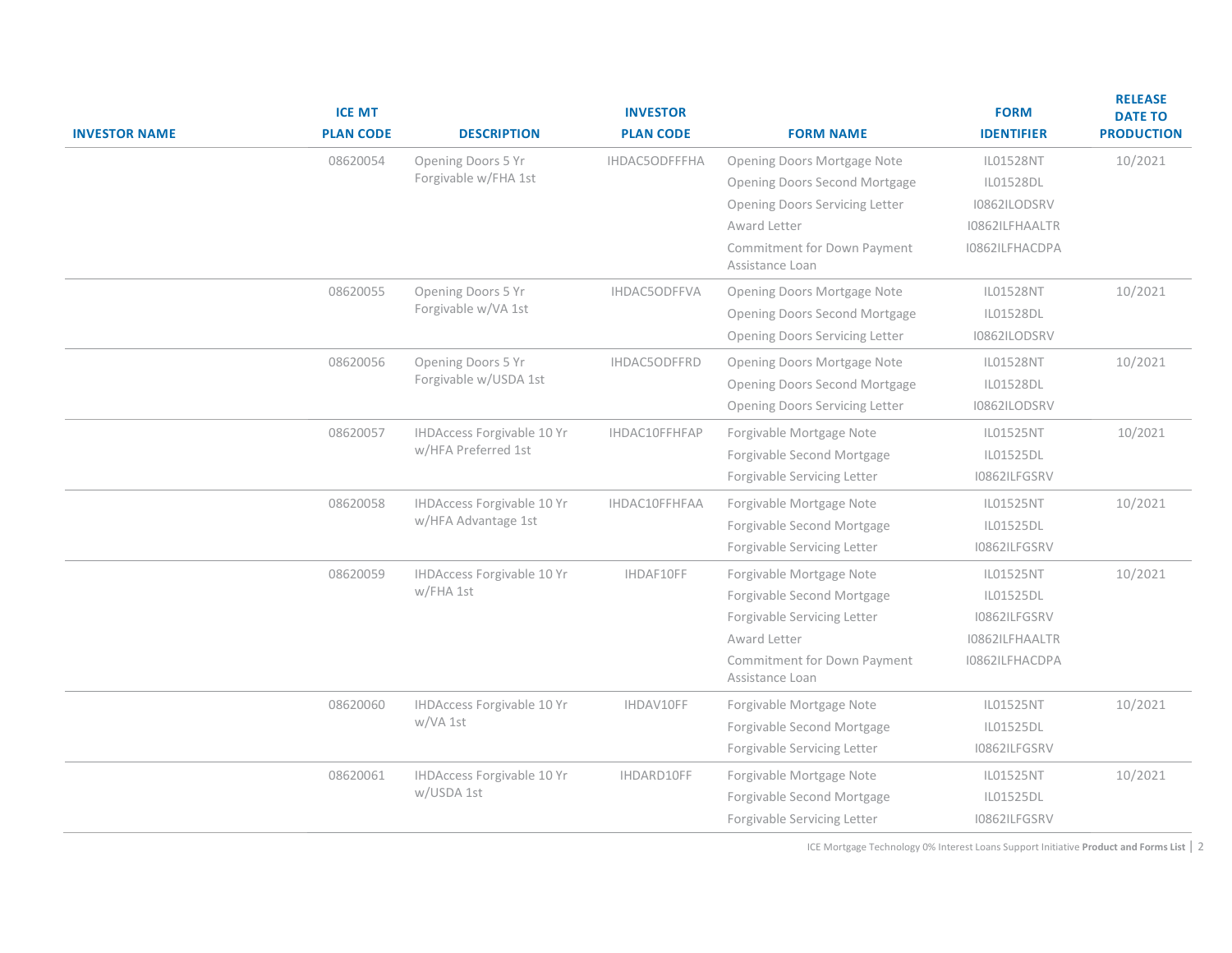| <b>INVESTOR NAME</b> | <b>ICE MT</b><br><b>PLAN CODE</b> | <b>DESCRIPTION</b>                             | <b>INVESTOR</b><br><b>PLAN CODE</b> | <b>FORM NAME</b>                               | <b>FORM</b><br><b>IDENTIFIER</b> | <b>RELEASE</b><br><b>DATE TO</b><br><b>PRODUCTION</b> |
|----------------------|-----------------------------------|------------------------------------------------|-------------------------------------|------------------------------------------------|----------------------------------|-------------------------------------------------------|
|                      | 08620054                          | Opening Doors 5 Yr                             | IHDAC5ODFFFHA                       | Opening Doors Mortgage Note                    | IL01528NT                        | 10/2021                                               |
|                      |                                   | Forgivable w/FHA 1st                           |                                     | <b>Opening Doors Second Mortgage</b>           | IL01528DL                        |                                                       |
|                      |                                   |                                                |                                     | <b>Opening Doors Servicing Letter</b>          | I0862ILODSRV                     |                                                       |
|                      |                                   |                                                |                                     | Award Letter                                   | I0862ILFHAALTR                   |                                                       |
|                      |                                   |                                                |                                     | Commitment for Down Payment<br>Assistance Loan | I0862ILFHACDPA                   |                                                       |
|                      | 08620055                          | Opening Doors 5 Yr<br>Forgivable w/VA 1st      | IHDAC5ODFFVA                        | Opening Doors Mortgage Note                    | IL01528NT                        | 10/2021                                               |
|                      |                                   |                                                |                                     | <b>Opening Doors Second Mortgage</b>           | IL01528DL                        |                                                       |
|                      |                                   |                                                |                                     | <b>Opening Doors Servicing Letter</b>          | I0862ILODSRV                     |                                                       |
|                      | 08620056                          | Opening Doors 5 Yr<br>Forgivable w/USDA 1st    | IHDAC5ODFFRD                        | Opening Doors Mortgage Note                    | IL01528NT                        | 10/2021                                               |
|                      |                                   |                                                |                                     | Opening Doors Second Mortgage                  | IL01528DL                        |                                                       |
|                      |                                   |                                                |                                     | <b>Opening Doors Servicing Letter</b>          | I0862ILODSRV                     |                                                       |
|                      | 08620057                          | <b>IHDAccess Forgivable 10 Yr</b>              | IHDAC10FFHFAP                       | Forgivable Mortgage Note                       | IL01525NT                        | 10/2021                                               |
|                      |                                   | w/HFA Preferred 1st                            |                                     | Forgivable Second Mortgage                     | IL01525DL                        |                                                       |
|                      |                                   |                                                |                                     | Forgivable Servicing Letter                    | I0862ILFGSRV                     |                                                       |
|                      | 08620058                          | <b>IHDAccess Forgivable 10 Yr</b>              | IHDAC10FFHFAA                       | Forgivable Mortgage Note                       | IL01525NT                        | 10/2021                                               |
|                      |                                   | w/HFA Advantage 1st                            |                                     | Forgivable Second Mortgage                     | IL01525DL                        |                                                       |
|                      |                                   |                                                |                                     | Forgivable Servicing Letter                    | I0862ILFGSRV                     |                                                       |
|                      | 08620059                          | <b>IHDAccess Forgivable 10 Yr</b><br>w/FHA 1st | IHDAF10FF                           | Forgivable Mortgage Note                       | IL01525NT                        | 10/2021                                               |
|                      |                                   |                                                |                                     | Forgivable Second Mortgage                     | IL01525DL                        |                                                       |
|                      |                                   |                                                |                                     | Forgivable Servicing Letter                    | I0862ILFGSRV                     |                                                       |
|                      |                                   |                                                |                                     | Award Letter                                   | I0862ILFHAALTR                   |                                                       |
|                      |                                   |                                                |                                     | Commitment for Down Payment<br>Assistance Loan | I0862ILFHACDPA                   |                                                       |
|                      | 08620060                          | <b>IHDAccess Forgivable 10 Yr</b><br>w/VA 1st  | IHDAV10FF                           | Forgivable Mortgage Note                       | IL01525NT                        | 10/2021                                               |
|                      |                                   |                                                |                                     | Forgivable Second Mortgage                     | IL01525DL                        |                                                       |
|                      |                                   |                                                |                                     | Forgivable Servicing Letter                    | I0862ILFGSRV                     |                                                       |
|                      | 08620061                          | <b>IHDAccess Forgivable 10 Yr</b>              | IHDARD10FF                          | Forgivable Mortgage Note                       | IL01525NT                        | 10/2021                                               |
|                      |                                   | w/USDA 1st                                     |                                     | Forgivable Second Mortgage                     | IL01525DL                        |                                                       |
|                      |                                   |                                                |                                     | Forgivable Servicing Letter                    | I0862ILFGSRV                     |                                                       |
|                      |                                   |                                                |                                     |                                                |                                  |                                                       |

ICE Mortgage Technology 0% Interest Loans Support Initiative **Product and Forms List** | 2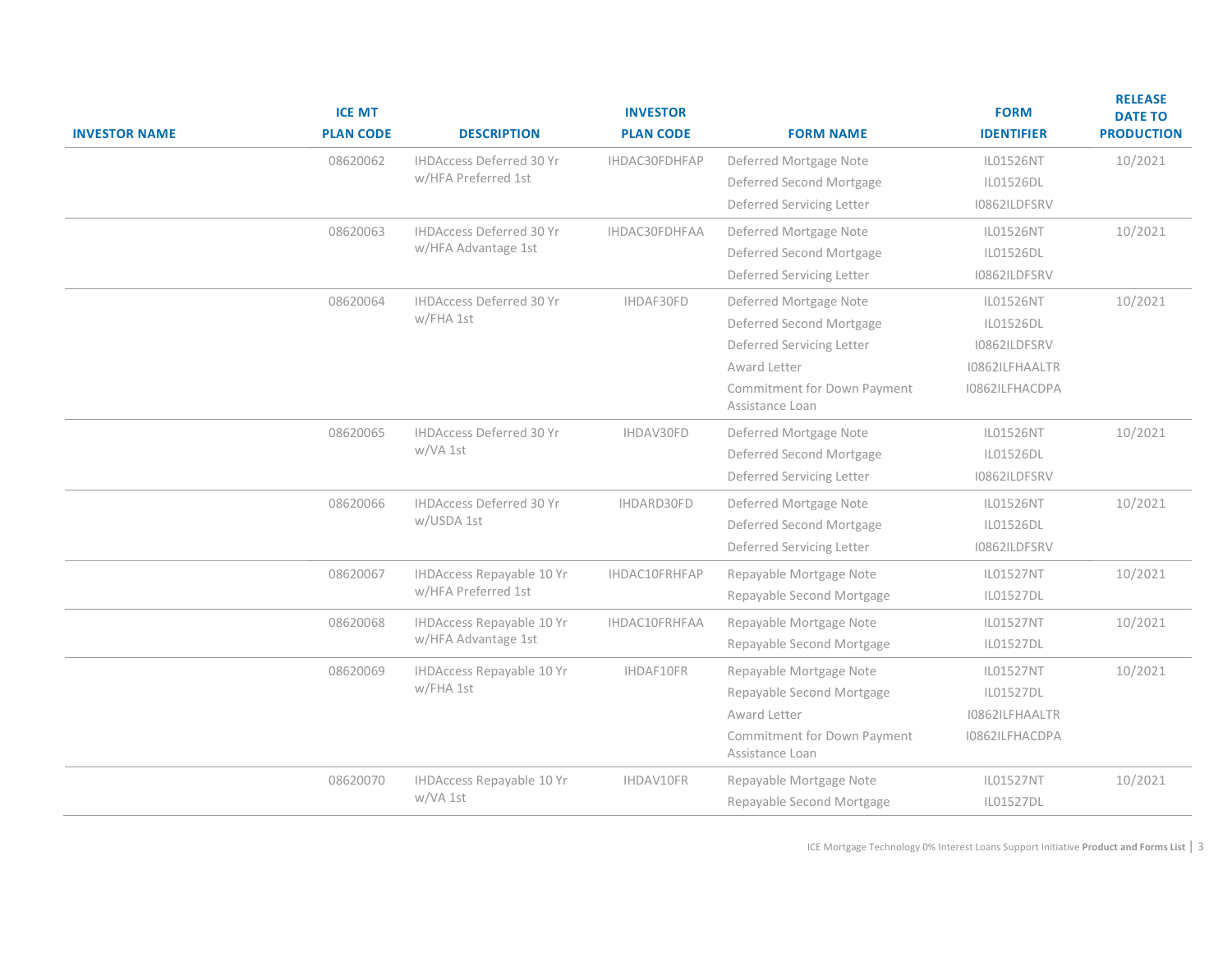| <b>INVESTOR NAME</b> | <b>ICE MT</b><br><b>PLAN CODE</b> | <b>DESCRIPTION</b>                                     | <b>INVESTOR</b><br><b>PLAN CODE</b> | <b>FORM NAME</b>                               | <b>FORM</b><br><b>IDENTIFIER</b> | <b>RELEASE</b><br><b>DATE TO</b><br><b>PRODUCTION</b> |
|----------------------|-----------------------------------|--------------------------------------------------------|-------------------------------------|------------------------------------------------|----------------------------------|-------------------------------------------------------|
|                      | 08620062                          | <b>IHDAccess Deferred 30 Yr</b>                        | IHDAC30FDHFAP                       | Deferred Mortgage Note                         | IL01526NT                        | 10/2021                                               |
|                      |                                   | w/HFA Preferred 1st                                    |                                     | Deferred Second Mortgage                       | IL01526DL                        |                                                       |
|                      |                                   |                                                        |                                     | Deferred Servicing Letter                      | I0862ILDFSRV                     |                                                       |
|                      | 08620063                          | <b>IHDAccess Deferred 30 Yr</b><br>w/HFA Advantage 1st | IHDAC30FDHFAA                       | Deferred Mortgage Note                         | IL01526NT                        | 10/2021                                               |
|                      |                                   |                                                        |                                     | Deferred Second Mortgage                       | IL01526DL                        |                                                       |
|                      |                                   |                                                        |                                     | Deferred Servicing Letter                      | I0862ILDFSRV                     |                                                       |
|                      | 08620064                          | <b>IHDAccess Deferred 30 Yr</b><br>w/FHA 1st           | IHDAF30FD                           | Deferred Mortgage Note                         | IL01526NT                        | 10/2021                                               |
|                      |                                   |                                                        |                                     | Deferred Second Mortgage                       | IL01526DL                        |                                                       |
|                      |                                   |                                                        |                                     | Deferred Servicing Letter                      | I0862ILDFSRV                     |                                                       |
|                      |                                   |                                                        |                                     | Award Letter                                   | I0862ILFHAALTR                   |                                                       |
|                      |                                   |                                                        |                                     | Commitment for Down Payment<br>Assistance Loan | I0862ILFHACDPA                   |                                                       |
|                      | 08620065                          | IHDAccess Deferred 30 Yr                               | IHDAV30FD                           | Deferred Mortgage Note                         | <b>IL01526NT</b>                 | 10/2021                                               |
|                      |                                   | w/VA 1st                                               |                                     | Deferred Second Mortgage                       | IL01526DL                        |                                                       |
|                      |                                   |                                                        |                                     | Deferred Servicing Letter                      | I0862ILDFSRV                     |                                                       |
|                      | 08620066                          | <b>IHDAccess Deferred 30 Yr</b>                        | IHDARD30FD                          | Deferred Mortgage Note                         | <b>IL01526NT</b>                 | 10/2021                                               |
|                      |                                   | w/USDA 1st                                             |                                     | Deferred Second Mortgage                       | IL01526DL                        |                                                       |
|                      |                                   |                                                        |                                     | Deferred Servicing Letter                      | I0862ILDFSRV                     |                                                       |
|                      | 08620067                          | <b>IHDAccess Repayable 10 Yr</b>                       | IHDAC10FRHFAP<br>IHDAC10FRHFAA      | Repayable Mortgage Note                        | <b>IL01527NT</b>                 | 10/2021                                               |
|                      |                                   | w/HFA Preferred 1st                                    |                                     | Repayable Second Mortgage                      | IL01527DL                        |                                                       |
|                      | 08620068                          | IHDAccess Repayable 10 Yr                              |                                     | Repayable Mortgage Note                        | <b>IL01527NT</b>                 | 10/2021                                               |
|                      |                                   | w/HFA Advantage 1st                                    |                                     | Repayable Second Mortgage                      | IL01527DL                        |                                                       |
|                      | 08620069                          | IHDAccess Repayable 10 Yr<br>w/FHA 1st                 | IHDAF10FR                           | Repayable Mortgage Note                        | <b>IL01527NT</b>                 | 10/2021                                               |
|                      |                                   |                                                        |                                     | Repayable Second Mortgage                      | IL01527DL                        |                                                       |
|                      |                                   |                                                        | Award Letter                        | I0862ILFHAALTR                                 |                                  |                                                       |
|                      |                                   |                                                        |                                     | Commitment for Down Payment<br>Assistance Loan | I0862ILFHACDPA                   |                                                       |
|                      | 08620070                          | <b>IHDAccess Repayable 10 Yr</b>                       | IHDAV10FR                           | Repayable Mortgage Note                        | IL01527NT                        | 10/2021                                               |
|                      |                                   | w/VA 1st                                               |                                     | Repayable Second Mortgage                      | IL01527DL                        |                                                       |

ICE Mortgage Technology 0% Interest Loans Support Initiative **Product and Forms List** | 3